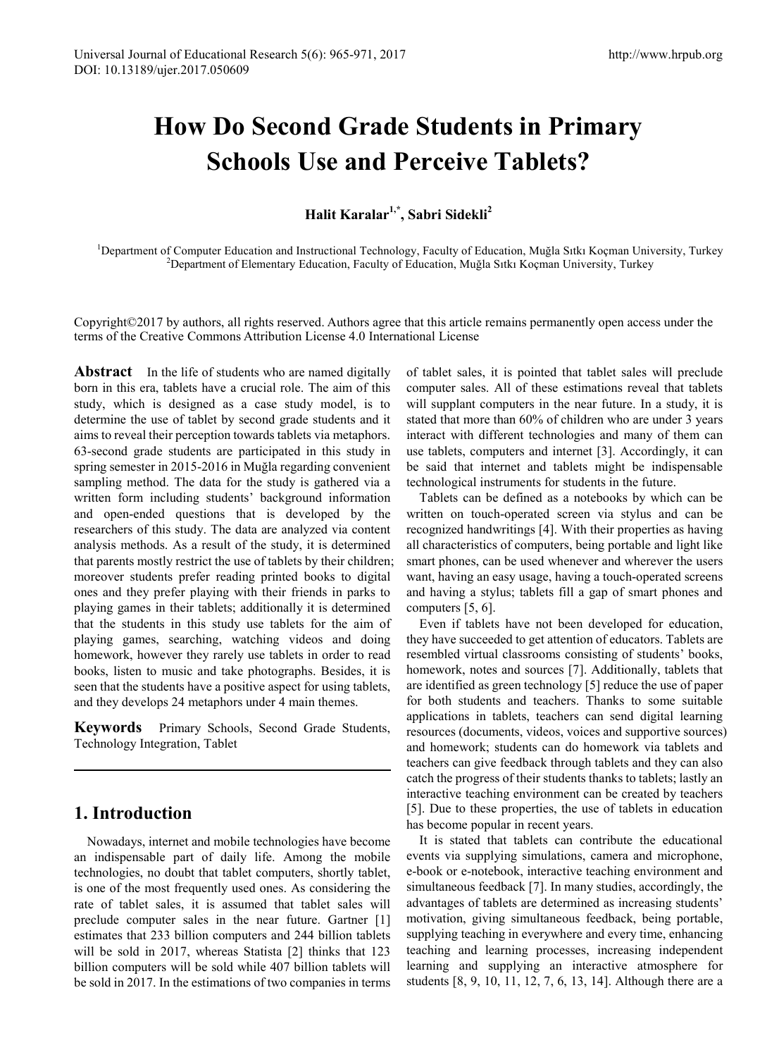# **How Do Second Grade Students in Primary Schools Use and Perceive Tablets?**

**Halit Karalar1,\*, Sabri Sidekli2**

<sup>1</sup>Department of Computer Education and Instructional Technology, Faculty of Education, Muğla Sıtkı Koçman University, Turkey <sup>2</sup>Department of Elementary Education, Faculty of Education, Muğla Sıtkı Koçman University, Turkey

Copyright©2017 by authors, all rights reserved. Authors agree that this article remains permanently open access under the terms of the Creative Commons Attribution License 4.0 International License

**Abstract** In the life of students who are named digitally born in this era, tablets have a crucial role. The aim of this study, which is designed as a case study model, is to determine the use of tablet by second grade students and it aims to reveal their perception towards tablets via metaphors. 63-second grade students are participated in this study in spring semester in 2015-2016 in Muğla regarding convenient sampling method. The data for the study is gathered via a written form including students' background information and open-ended questions that is developed by the researchers of this study. The data are analyzed via content analysis methods. As a result of the study, it is determined that parents mostly restrict the use of tablets by their children; moreover students prefer reading printed books to digital ones and they prefer playing with their friends in parks to playing games in their tablets; additionally it is determined that the students in this study use tablets for the aim of playing games, searching, watching videos and doing homework, however they rarely use tablets in order to read books, listen to music and take photographs. Besides, it is seen that the students have a positive aspect for using tablets, and they develops 24 metaphors under 4 main themes.

**Keywords** Primary Schools, Second Grade Students, Technology Integration, Tablet

# **1. Introduction**

Nowadays, internet and mobile technologies have become an indispensable part of daily life. Among the mobile technologies, no doubt that tablet computers, shortly tablet, is one of the most frequently used ones. As considering the rate of tablet sales, it is assumed that tablet sales will preclude computer sales in the near future. Gartner [1] estimates that 233 billion computers and 244 billion tablets will be sold in 2017, whereas Statista [2] thinks that 123 billion computers will be sold while 407 billion tablets will be sold in 2017. In the estimations of two companies in terms

of tablet sales, it is pointed that tablet sales will preclude computer sales. All of these estimations reveal that tablets will supplant computers in the near future. In a study, it is stated that more than 60% of children who are under 3 years interact with different technologies and many of them can use tablets, computers and internet [3]. Accordingly, it can be said that internet and tablets might be indispensable technological instruments for students in the future.

Tablets can be defined as a notebooks by which can be written on touch-operated screen via stylus and can be recognized handwritings [4]. With their properties as having all characteristics of computers, being portable and light like smart phones, can be used whenever and wherever the users want, having an easy usage, having a touch-operated screens and having a stylus; tablets fill a gap of smart phones and computers [5, 6].

Even if tablets have not been developed for education, they have succeeded to get attention of educators. Tablets are resembled virtual classrooms consisting of students' books, homework, notes and sources [7]. Additionally, tablets that are identified as green technology [5] reduce the use of paper for both students and teachers. Thanks to some suitable applications in tablets, teachers can send digital learning resources (documents, videos, voices and supportive sources) and homework; students can do homework via tablets and teachers can give feedback through tablets and they can also catch the progress of their students thanks to tablets; lastly an interactive teaching environment can be created by teachers [5]. Due to these properties, the use of tablets in education has become popular in recent years.

It is stated that tablets can contribute the educational events via supplying simulations, camera and microphone, e-book or e-notebook, interactive teaching environment and simultaneous feedback [7]. In many studies, accordingly, the advantages of tablets are determined as increasing students' motivation, giving simultaneous feedback, being portable, supplying teaching in everywhere and every time, enhancing teaching and learning processes, increasing independent learning and supplying an interactive atmosphere for students [8, 9, 10, 11, 12, 7, 6, 13, 14]. Although there are a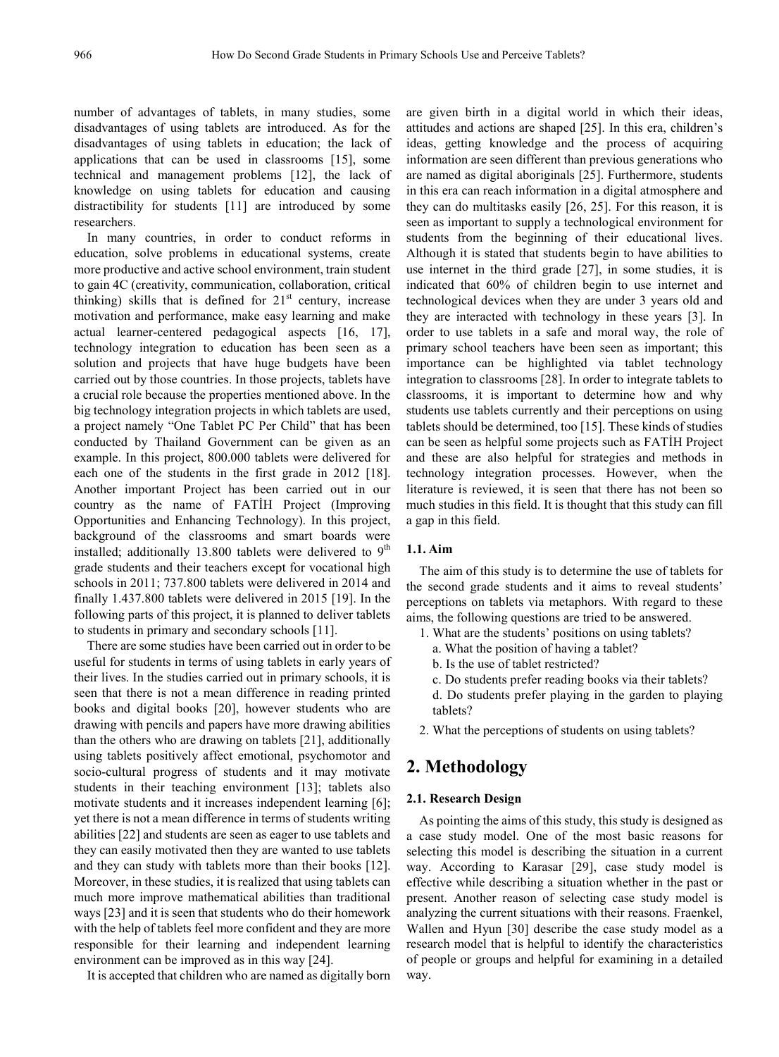number of advantages of tablets, in many studies, some disadvantages of using tablets are introduced. As for the disadvantages of using tablets in education; the lack of applications that can be used in classrooms [15], some technical and management problems [12], the lack of knowledge on using tablets for education and causing distractibility for students [11] are introduced by some researchers.

In many countries, in order to conduct reforms in education, solve problems in educational systems, create more productive and active school environment, train student to gain 4C (creativity, communication, collaboration, critical thinking) skills that is defined for  $21<sup>st</sup>$  century, increase motivation and performance, make easy learning and make actual learner-centered pedagogical aspects [16, 17], technology integration to education has been seen as a solution and projects that have huge budgets have been carried out by those countries. In those projects, tablets have a crucial role because the properties mentioned above. In the big technology integration projects in which tablets are used, a project namely "One Tablet PC Per Child" that has been conducted by Thailand Government can be given as an example. In this project, 800.000 tablets were delivered for each one of the students in the first grade in 2012 [18]. Another important Project has been carried out in our country as the name of FATİH Project (Improving Opportunities and Enhancing Technology). In this project, background of the classrooms and smart boards were installed; additionally 13.800 tablets were delivered to  $9<sup>th</sup>$ grade students and their teachers except for vocational high schools in 2011; 737.800 tablets were delivered in 2014 and finally 1.437.800 tablets were delivered in 2015 [19]. In the following parts of this project, it is planned to deliver tablets to students in primary and secondary schools [11].

There are some studies have been carried out in order to be useful for students in terms of using tablets in early years of their lives. In the studies carried out in primary schools, it is seen that there is not a mean difference in reading printed books and digital books [20], however students who are drawing with pencils and papers have more drawing abilities than the others who are drawing on tablets [21], additionally using tablets positively affect emotional, psychomotor and socio-cultural progress of students and it may motivate students in their teaching environment [13]; tablets also motivate students and it increases independent learning [6]; yet there is not a mean difference in terms of students writing abilities [22] and students are seen as eager to use tablets and they can easily motivated then they are wanted to use tablets and they can study with tablets more than their books [12]. Moreover, in these studies, it is realized that using tablets can much more improve mathematical abilities than traditional ways [23] and it is seen that students who do their homework with the help of tablets feel more confident and they are more responsible for their learning and independent learning environment can be improved as in this way [24].

It is accepted that children who are named as digitally born

are given birth in a digital world in which their ideas, attitudes and actions are shaped [25]. In this era, children's ideas, getting knowledge and the process of acquiring information are seen different than previous generations who are named as digital aboriginals [25]. Furthermore, students in this era can reach information in a digital atmosphere and they can do multitasks easily [26, 25]. For this reason, it is seen as important to supply a technological environment for students from the beginning of their educational lives. Although it is stated that students begin to have abilities to use internet in the third grade [27], in some studies, it is indicated that 60% of children begin to use internet and technological devices when they are under 3 years old and they are interacted with technology in these years [3]. In order to use tablets in a safe and moral way, the role of primary school teachers have been seen as important; this importance can be highlighted via tablet technology integration to classrooms [28]. In order to integrate tablets to classrooms, it is important to determine how and why students use tablets currently and their perceptions on using tablets should be determined, too [15]. These kinds of studies can be seen as helpful some projects such as FATİH Project and these are also helpful for strategies and methods in technology integration processes. However, when the literature is reviewed, it is seen that there has not been so much studies in this field. It is thought that this study can fill a gap in this field.

#### **1.1. Aim**

The aim of this study is to determine the use of tablets for the second grade students and it aims to reveal students' perceptions on tablets via metaphors. With regard to these aims, the following questions are tried to be answered.

- 1. What are the students' positions on using tablets?
	- a. What the position of having a tablet?
	- b. Is the use of tablet restricted?
	- c. Do students prefer reading books via their tablets?
	- d. Do students prefer playing in the garden to playing tablets?
- 2. What the perceptions of students on using tablets?

# **2. Methodology**

#### **2.1. Research Design**

As pointing the aims of this study, this study is designed as a case study model. One of the most basic reasons for selecting this model is describing the situation in a current way. According to Karasar [29], case study model is effective while describing a situation whether in the past or present. Another reason of selecting case study model is analyzing the current situations with their reasons. Fraenkel, Wallen and Hyun [30] describe the case study model as a research model that is helpful to identify the characteristics of people or groups and helpful for examining in a detailed way.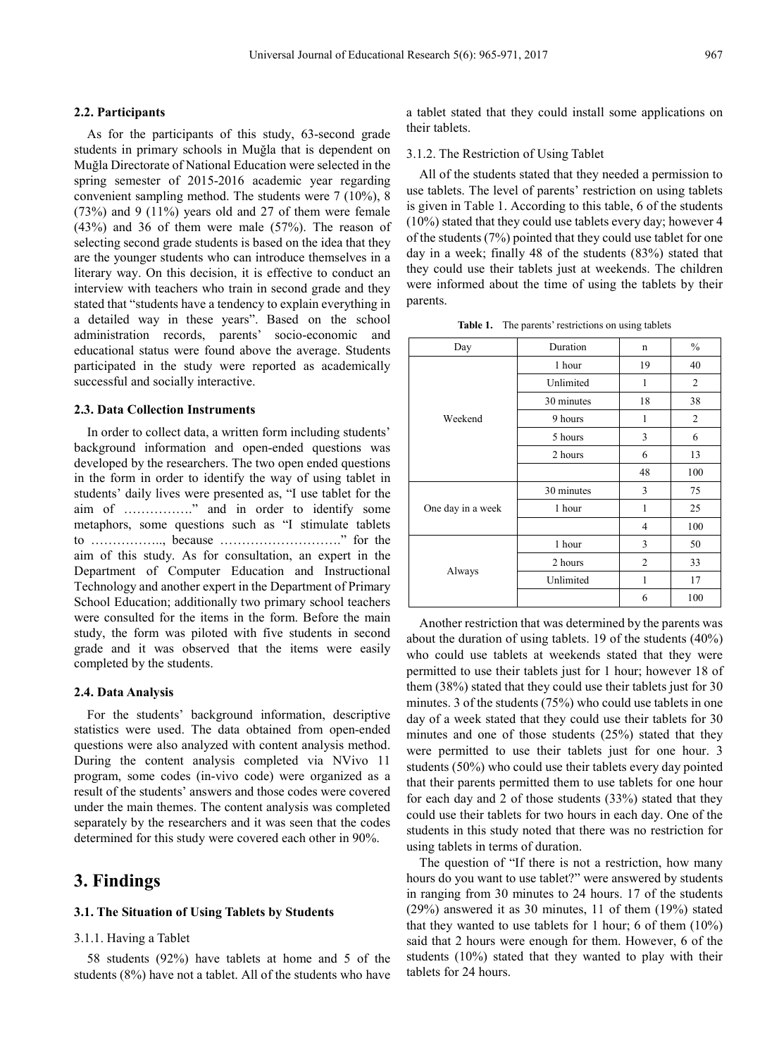#### **2.2. Participants**

As for the participants of this study, 63-second grade students in primary schools in Muğla that is dependent on Muğla Directorate of National Education were selected in the spring semester of 2015-2016 academic year regarding convenient sampling method. The students were 7 (10%), 8  $(73%)$  and 9  $(11%)$  years old and 27 of them were female (43%) and 36 of them were male (57%). The reason of selecting second grade students is based on the idea that they are the younger students who can introduce themselves in a literary way. On this decision, it is effective to conduct an interview with teachers who train in second grade and they stated that "students have a tendency to explain everything in a detailed way in these years". Based on the school administration records, parents' socio-economic and educational status were found above the average. Students participated in the study were reported as academically successful and socially interactive.

#### **2.3. Data Collection Instruments**

In order to collect data, a written form including students' background information and open-ended questions was developed by the researchers. The two open ended questions in the form in order to identify the way of using tablet in students' daily lives were presented as, "I use tablet for the aim of ……………." and in order to identify some metaphors, some questions such as "I stimulate tablets to …………….., because ………………………." for the aim of this study. As for consultation, an expert in the Department of Computer Education and Instructional Technology and another expert in the Department of Primary School Education; additionally two primary school teachers were consulted for the items in the form. Before the main study, the form was piloted with five students in second grade and it was observed that the items were easily completed by the students.

#### **2.4. Data Analysis**

For the students' background information, descriptive statistics were used. The data obtained from open-ended questions were also analyzed with content analysis method. During the content analysis completed via NVivo 11 program, some codes (in-vivo code) were organized as a result of the students' answers and those codes were covered under the main themes. The content analysis was completed separately by the researchers and it was seen that the codes determined for this study were covered each other in 90%.

## **3. Findings**

#### **3.1. The Situation of Using Tablets by Students**

## 3.1.1. Having a Tablet

58 students (92%) have tablets at home and 5 of the students (8%) have not a tablet. All of the students who have a tablet stated that they could install some applications on their tablets.

3.1.2. The Restriction of Using Tablet

All of the students stated that they needed a permission to use tablets. The level of parents' restriction on using tablets is given in Table 1. According to this table, 6 of the students (10%) stated that they could use tablets every day; however 4 of the students (7%) pointed that they could use tablet for one day in a week; finally 48 of the students (83%) stated that they could use their tablets just at weekends. The children were informed about the time of using the tablets by their parents.

Table 1. The parents' restrictions on using tablets

| Day               | Duration   | n              | $\frac{0}{0}$ |
|-------------------|------------|----------------|---------------|
| Weekend           | 1 hour     | 19             | 40            |
|                   | Unlimited  | 1              | 2             |
|                   | 30 minutes | 18             | 38            |
|                   | 9 hours    | 1              | 2             |
|                   | 5 hours    | 3              | 6             |
|                   | 2 hours    | 6              | 13            |
|                   |            | 48             | 100           |
| One day in a week | 30 minutes | 3              | 75            |
|                   | 1 hour     | 1              | 25            |
|                   |            | 4              | 100           |
| Always            | 1 hour     | 3              | 50            |
|                   | 2 hours    | $\overline{2}$ | 33            |
|                   | Unlimited  | 1              | 17            |
|                   |            | 6              | 100           |

Another restriction that was determined by the parents was about the duration of using tablets. 19 of the students (40%) who could use tablets at weekends stated that they were permitted to use their tablets just for 1 hour; however 18 of them (38%) stated that they could use their tablets just for 30 minutes. 3 of the students (75%) who could use tablets in one day of a week stated that they could use their tablets for 30 minutes and one of those students (25%) stated that they were permitted to use their tablets just for one hour. 3 students (50%) who could use their tablets every day pointed that their parents permitted them to use tablets for one hour for each day and 2 of those students (33%) stated that they could use their tablets for two hours in each day. One of the students in this study noted that there was no restriction for using tablets in terms of duration.

The question of "If there is not a restriction, how many hours do you want to use tablet?" were answered by students in ranging from 30 minutes to 24 hours. 17 of the students (29%) answered it as 30 minutes, 11 of them (19%) stated that they wanted to use tablets for 1 hour; 6 of them (10%) said that 2 hours were enough for them. However, 6 of the students (10%) stated that they wanted to play with their tablets for 24 hours.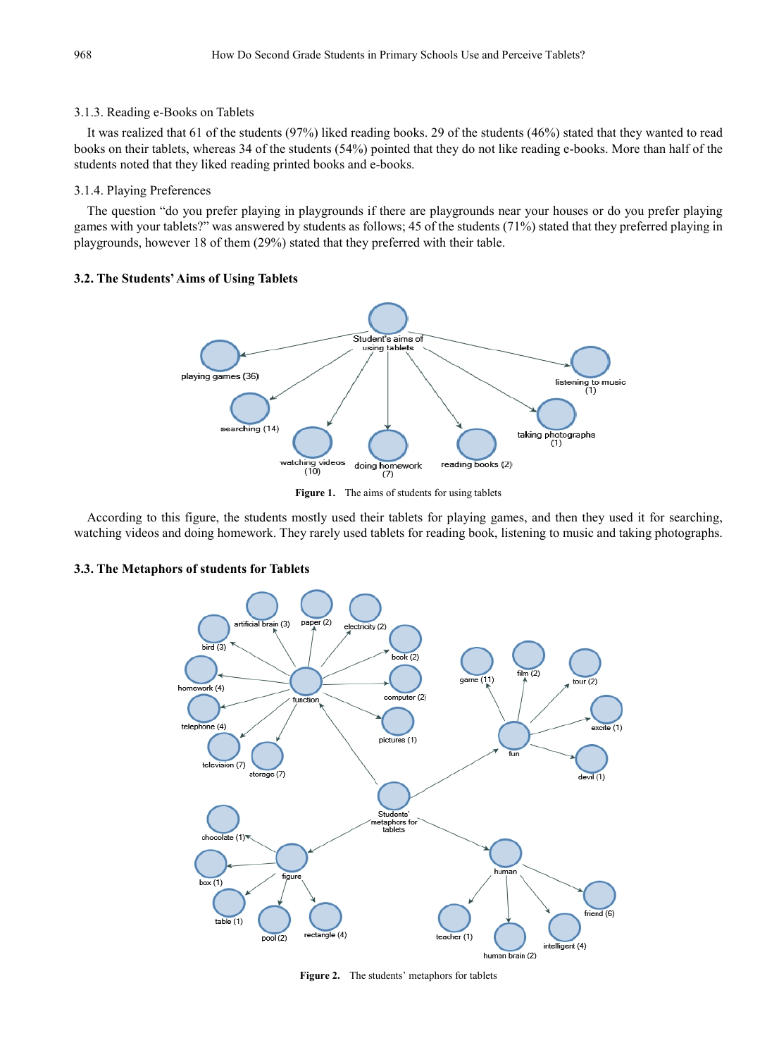## 3.1.3. Reading e-Books on Tablets

It was realized that 61 of the students (97%) liked reading books. 29 of the students (46%) stated that they wanted to read books on their tablets, whereas 34 of the students (54%) pointed that they do not like reading e-books. More than half of the students noted that they liked reading printed books and e-books.

## 3.1.4. Playing Preferences

The question "do you prefer playing in playgrounds if there are playgrounds near your houses or do you prefer playing games with your tablets?" was answered by students as follows; 45 of the students (71%) stated that they preferred playing in playgrounds, however 18 of them (29%) stated that they preferred with their table.

## **3.2. The Students' Aims of Using Tablets**



Figure 1. The aims of students for using tablets

According to this figure, the students mostly used their tablets for playing games, and then they used it for searching, watching videos and doing homework. They rarely used tablets for reading book, listening to music and taking photographs.

## **3.3. The Metaphors of students for Tablets**



**Figure 2.** The students' metaphors for tablets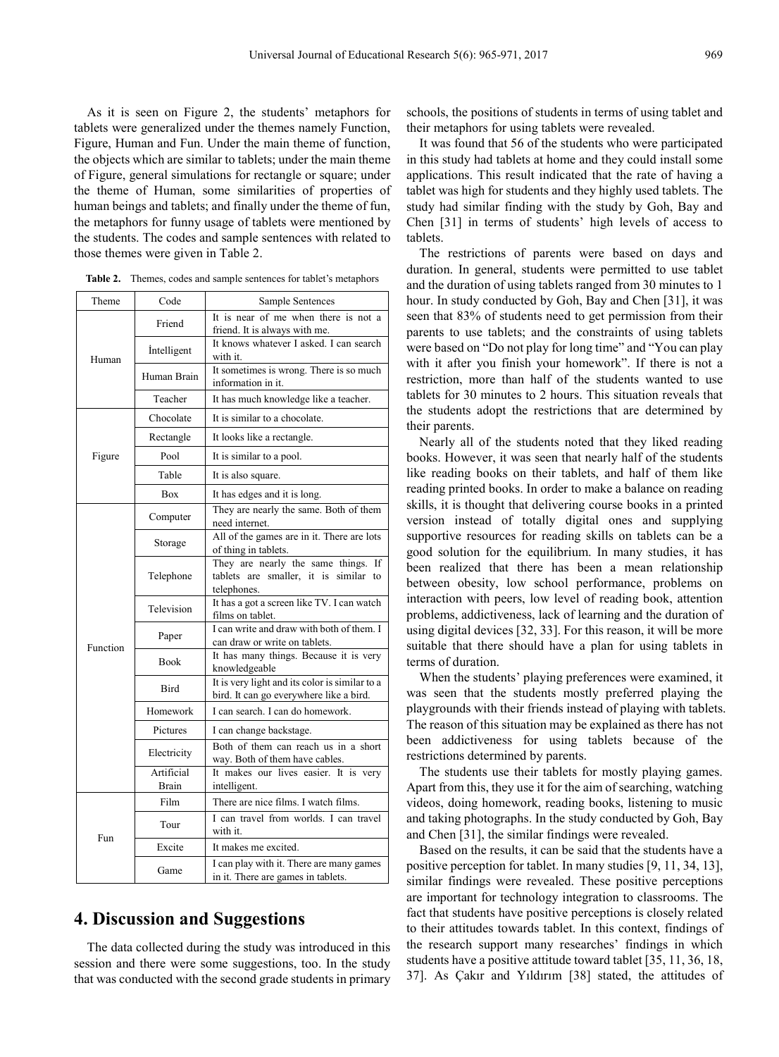As it is seen on Figure 2, the students' metaphors for tablets were generalized under the themes namely Function, Figure, Human and Fun. Under the main theme of function, the objects which are similar to tablets; under the main theme of Figure, general simulations for rectangle or square; under the theme of Human, some similarities of properties of human beings and tablets; and finally under the theme of fun, the metaphors for funny usage of tablets were mentioned by the students. The codes and sample sentences with related to those themes were given in Table 2.

| Theme    | Code               | Sample Sentences                                                                            |  |  |
|----------|--------------------|---------------------------------------------------------------------------------------------|--|--|
| Human    | Friend             | It is near of me when there is not a<br>friend. It is always with me.                       |  |  |
|          | <i>intelligent</i> | It knows whatever I asked. I can search<br>with it.                                         |  |  |
|          | Human Brain        | It sometimes is wrong. There is so much<br>information in it.                               |  |  |
|          | Teacher            | It has much knowledge like a teacher.                                                       |  |  |
| Figure   | Chocolate          | It is similar to a chocolate.                                                               |  |  |
|          | Rectangle          | It looks like a rectangle.                                                                  |  |  |
|          | Pool               | It is similar to a pool.                                                                    |  |  |
|          | Table              | It is also square.                                                                          |  |  |
|          | Box                | It has edges and it is long.                                                                |  |  |
| Function | Computer           | They are nearly the same. Both of them<br>need internet.                                    |  |  |
|          | Storage            | All of the games are in it. There are lots<br>of thing in tablets.                          |  |  |
|          | Telephone          | They are nearly the same things. If<br>tablets are smaller, it is similar to<br>telephones. |  |  |
|          | Television         | It has a got a screen like TV. I can watch<br>films on tablet.                              |  |  |
|          | Paper              | I can write and draw with both of them. I<br>can draw or write on tablets.                  |  |  |
|          | <b>Book</b>        | It has many things. Because it is very<br>knowledgeable                                     |  |  |
|          | Bird               | It is very light and its color is similar to a<br>bird. It can go everywhere like a bird.   |  |  |
|          | Homework           | I can search. I can do homework.                                                            |  |  |
|          | Pictures           | I can change backstage.                                                                     |  |  |
|          | Electricity        | Both of them can reach us in a short<br>way. Both of them have cables.                      |  |  |
|          | Artificial         | It makes our lives easier. It is very                                                       |  |  |
| Fun      | Brain<br>Film      | intelligent.<br>There are nice films. I watch films.                                        |  |  |
|          | Tour               | I can travel from worlds. I can travel<br>with it.                                          |  |  |
|          | Excite             | It makes me excited.                                                                        |  |  |
|          | Game               | I can play with it. There are many games<br>in it. There are games in tablets.              |  |  |

**Table 2.** Themes, codes and sample sentences for tablet's metaphors

# **4. Discussion and Suggestions**

The data collected during the study was introduced in this session and there were some suggestions, too. In the study that was conducted with the second grade students in primary schools, the positions of students in terms of using tablet and their metaphors for using tablets were revealed.

It was found that 56 of the students who were participated in this study had tablets at home and they could install some applications. This result indicated that the rate of having a tablet was high for students and they highly used tablets. The study had similar finding with the study by Goh, Bay and Chen [31] in terms of students' high levels of access to tablets.

The restrictions of parents were based on days and duration. In general, students were permitted to use tablet and the duration of using tablets ranged from 30 minutes to 1 hour. In study conducted by Goh, Bay and Chen [31], it was seen that 83% of students need to get permission from their parents to use tablets; and the constraints of using tablets were based on "Do not play for long time" and "You can play with it after you finish your homework". If there is not a restriction, more than half of the students wanted to use tablets for 30 minutes to 2 hours. This situation reveals that the students adopt the restrictions that are determined by their parents.

Nearly all of the students noted that they liked reading books. However, it was seen that nearly half of the students like reading books on their tablets, and half of them like reading printed books. In order to make a balance on reading skills, it is thought that delivering course books in a printed version instead of totally digital ones and supplying supportive resources for reading skills on tablets can be a good solution for the equilibrium. In many studies, it has been realized that there has been a mean relationship between obesity, low school performance, problems on interaction with peers, low level of reading book, attention problems, addictiveness, lack of learning and the duration of using digital devices [32, 33]. For this reason, it will be more suitable that there should have a plan for using tablets in terms of duration.

When the students' playing preferences were examined, it was seen that the students mostly preferred playing the playgrounds with their friends instead of playing with tablets. The reason of this situation may be explained as there has not been addictiveness for using tablets because of the restrictions determined by parents.

The students use their tablets for mostly playing games. Apart from this, they use it for the aim of searching, watching videos, doing homework, reading books, listening to music and taking photographs. In the study conducted by Goh, Bay and Chen [31], the similar findings were revealed.

Based on the results, it can be said that the students have a positive perception for tablet. In many studies [9, 11, 34, 13], similar findings were revealed. These positive perceptions are important for technology integration to classrooms. The fact that students have positive perceptions is closely related to their attitudes towards tablet. In this context, findings of the research support many researches' findings in which students have a positive attitude toward tablet [35, 11, 36, 18, 37]. As Çakır and Yıldırım [38] stated, the attitudes of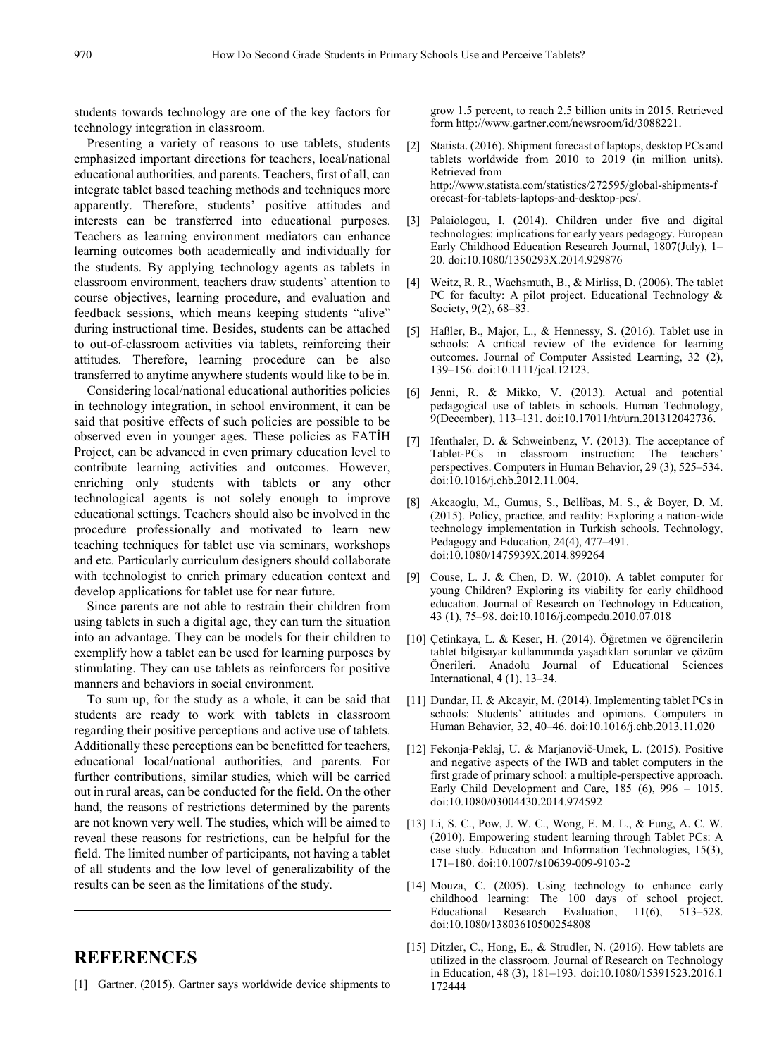students towards technology are one of the key factors for technology integration in classroom.

Presenting a variety of reasons to use tablets, students emphasized important directions for teachers, local/national educational authorities, and parents. Teachers, first of all, can integrate tablet based teaching methods and techniques more apparently. Therefore, students' positive attitudes and interests can be transferred into educational purposes. Teachers as learning environment mediators can enhance learning outcomes both academically and individually for the students. By applying technology agents as tablets in classroom environment, teachers draw students' attention to course objectives, learning procedure, and evaluation and feedback sessions, which means keeping students "alive" during instructional time. Besides, students can be attached to out-of-classroom activities via tablets, reinforcing their attitudes. Therefore, learning procedure can be also transferred to anytime anywhere students would like to be in.

Considering local/national educational authorities policies in technology integration, in school environment, it can be said that positive effects of such policies are possible to be observed even in younger ages. These policies as FATİH Project, can be advanced in even primary education level to contribute learning activities and outcomes. However, enriching only students with tablets or any other technological agents is not solely enough to improve educational settings. Teachers should also be involved in the procedure professionally and motivated to learn new teaching techniques for tablet use via seminars, workshops and etc. Particularly curriculum designers should collaborate with technologist to enrich primary education context and develop applications for tablet use for near future.

Since parents are not able to restrain their children from using tablets in such a digital age, they can turn the situation into an advantage. They can be models for their children to exemplify how a tablet can be used for learning purposes by stimulating. They can use tablets as reinforcers for positive manners and behaviors in social environment.

To sum up, for the study as a whole, it can be said that students are ready to work with tablets in classroom regarding their positive perceptions and active use of tablets. Additionally these perceptions can be benefitted for teachers, educational local/national authorities, and parents. For further contributions, similar studies, which will be carried out in rural areas, can be conducted for the field. On the other hand, the reasons of restrictions determined by the parents are not known very well. The studies, which will be aimed to reveal these reasons for restrictions, can be helpful for the field. The limited number of participants, not having a tablet of all students and the low level of generalizability of the results can be seen as the limitations of the study.

# **REFERENCES**

[1] Gartner. (2015). Gartner says worldwide device shipments to

grow 1.5 percent, to reach 2.5 billion units in 2015. Retrieved form http://www.gartner.com/newsroom/id/3088221.

- [2] Statista. (2016). Shipment forecast of laptops, desktop PCs and tablets worldwide from 2010 to 2019 (in million units). Retrieved from http://www.statista.com/statistics/272595/global-shipments-f orecast-for-tablets-laptops-and-desktop-pcs/.
- [3] Palaiologou, I. (2014). Children under five and digital technologies: implications for early years pedagogy. European Early Childhood Education Research Journal, 1807(July), 1– 20. doi:10.1080/1350293X.2014.929876
- [4] Weitz, R. R., Wachsmuth, B., & Mirliss, D. (2006). The tablet PC for faculty: A pilot project. Educational Technology & Society, 9(2), 68–83.
- [5] Haßler, B., Major, L., & Hennessy, S. (2016). Tablet use in schools: A critical review of the evidence for learning outcomes. Journal of Computer Assisted Learning, 32 (2), 139–156. doi:10.1111/jcal.12123.
- [6] Jenni, R. & Mikko, V. (2013). Actual and potential pedagogical use of tablets in schools. Human Technology, 9(December), 113–131. doi:10.17011/ht/urn.201312042736.
- [7] Ifenthaler, D. & Schweinbenz, V. (2013). The acceptance of Tablet-PCs in classroom instruction: The teachers' perspectives. Computers in Human Behavior, 29 (3), 525–534. doi:10.1016/j.chb.2012.11.004.
- [8] Akcaoglu, M., Gumus, S., Bellibas, M. S., & Boyer, D. M. (2015). Policy, practice, and reality: Exploring a nation-wide technology implementation in Turkish schools. Technology, Pedagogy and Education, 24(4), 477–491. doi:10.1080/1475939X.2014.899264
- [9] Couse, L. J. & Chen, D. W. (2010). A tablet computer for young Children? Exploring its viability for early childhood education. Journal of Research on Technology in Education, 43 (1), 75–98. doi:10.1016/j.compedu.2010.07.018
- [10] Çetinkaya, L. & Keser, H. (2014). Öğretmen ve öğrencilerin tablet bilgisayar kullanımında yaşadıkları sorunlar ve çözüm Önerileri. Anadolu Journal of Educational Sciences International, 4 (1), 13–34.
- [11] Dundar, H. & Akcayir, M. (2014). Implementing tablet PCs in schools: Students' attitudes and opinions. Computers in Human Behavior, 32, 40–46. doi:10.1016/j.chb.2013.11.020
- [12] Fekonja-Peklaj, U. & Marjanovič-Umek, L. (2015). Positive and negative aspects of the IWB and tablet computers in the first grade of primary school: a multiple-perspective approach. Early Child Development and Care, 185 (6), 996 – 1015. doi:10.1080/03004430.2014.974592
- [13] Li, S. C., Pow, J. W. C., Wong, E. M. L., & Fung, A. C. W. (2010). Empowering student learning through Tablet PCs: A case study. Education and Information Technologies, 15(3), 171–180. doi:10.1007/s10639-009-9103-2
- [14] Mouza, C. (2005). Using technology to enhance early childhood learning: The 100 days of school project. Educational Research Evaluation, 11(6), 513–528. doi:10.1080/13803610500254808
- [15] Ditzler, C., Hong, E., & Strudler, N. (2016). How tablets are utilized in the classroom. Journal of Research on Technology in Education, 48 (3), 181–193. doi:10.1080/15391523.2016.1 172444